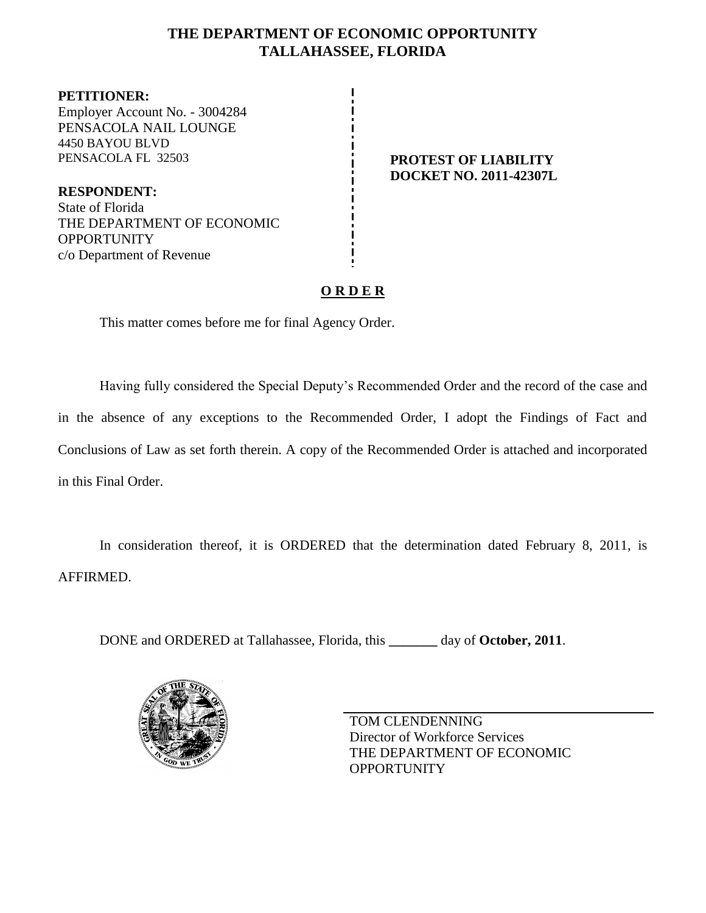# **THE DEPARTMENT OF ECONOMIC OPPORTUNITY TALLAHASSEE, FLORIDA**

**PETITIONER:** Employer Account No. - 3004284 PENSACOLA NAIL LOUNGE 4450 BAYOU BLVD PENSACOLA FL 32503 **PENSACOLA FL 32503 PROTEST OF LIABILITY** 

**RESPONDENT:** State of Florida THE DEPARTMENT OF ECONOMIC **OPPORTUNITY** c/o Department of Revenue

# **DOCKET NO. 2011-42307L**

# **O R D E R**

This matter comes before me for final Agency Order.

Having fully considered the Special Deputy's Recommended Order and the record of the case and in the absence of any exceptions to the Recommended Order, I adopt the Findings of Fact and Conclusions of Law as set forth therein. A copy of the Recommended Order is attached and incorporated in this Final Order.

In consideration thereof, it is ORDERED that the determination dated February 8, 2011, is AFFIRMED.

DONE and ORDERED at Tallahassee, Florida, this **\_\_\_\_\_\_\_** day of **October, 2011**.



TOM CLENDENNING Director of Workforce Services THE DEPARTMENT OF ECONOMIC **OPPORTUNITY**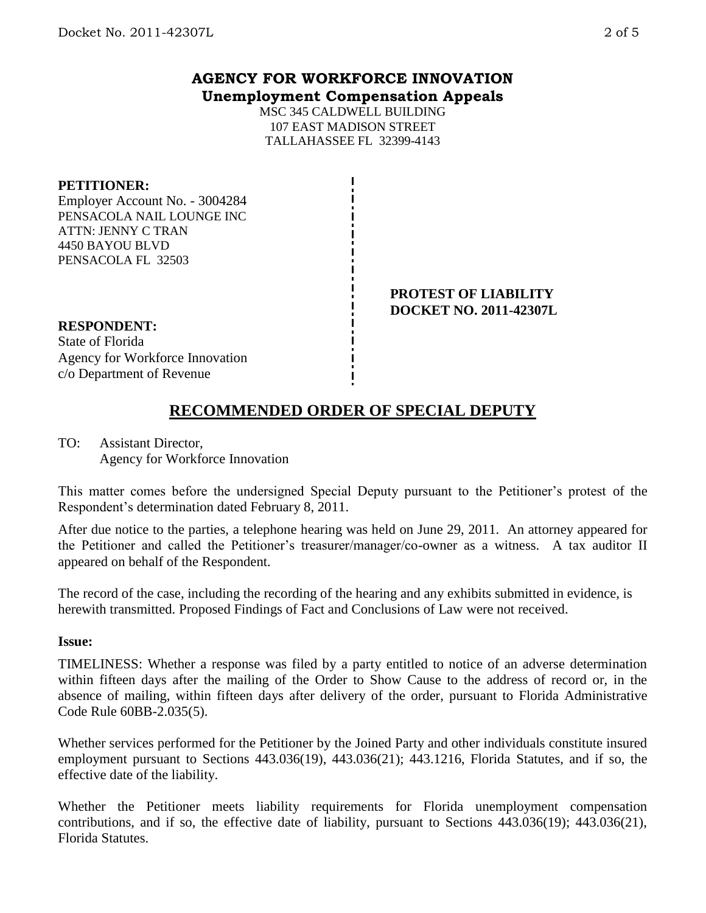# **AGENCY FOR WORKFORCE INNOVATION Unemployment Compensation Appeals**

MSC 345 CALDWELL BUILDING 107 EAST MADISON STREET TALLAHASSEE FL 32399-4143

#### **PETITIONER:**

Employer Account No. - 3004284 PENSACOLA NAIL LOUNGE INC ATTN: JENNY C TRAN 4450 BAYOU BLVD PENSACOLA FL 32503

#### **PROTEST OF LIABILITY DOCKET NO. 2011-42307L**

**RESPONDENT:** State of Florida Agency for Workforce Innovation

c/o Department of Revenue

# **RECOMMENDED ORDER OF SPECIAL DEPUTY**

TO: Assistant Director, Agency for Workforce Innovation

This matter comes before the undersigned Special Deputy pursuant to the Petitioner's protest of the Respondent's determination dated February 8, 2011.

After due notice to the parties, a telephone hearing was held on June 29, 2011. An attorney appeared for the Petitioner and called the Petitioner's treasurer/manager/co-owner as a witness. A tax auditor II appeared on behalf of the Respondent.

The record of the case, including the recording of the hearing and any exhibits submitted in evidence, is herewith transmitted. Proposed Findings of Fact and Conclusions of Law were not received.

#### **Issue:**

TIMELINESS: Whether a response was filed by a party entitled to notice of an adverse determination within fifteen days after the mailing of the Order to Show Cause to the address of record or, in the absence of mailing, within fifteen days after delivery of the order, pursuant to Florida Administrative Code Rule 60BB-2.035(5).

Whether services performed for the Petitioner by the Joined Party and other individuals constitute insured employment pursuant to Sections 443.036(19), 443.036(21); 443.1216, Florida Statutes, and if so, the effective date of the liability.

Whether the Petitioner meets liability requirements for Florida unemployment compensation contributions, and if so, the effective date of liability, pursuant to Sections 443.036(19); 443.036(21), Florida Statutes.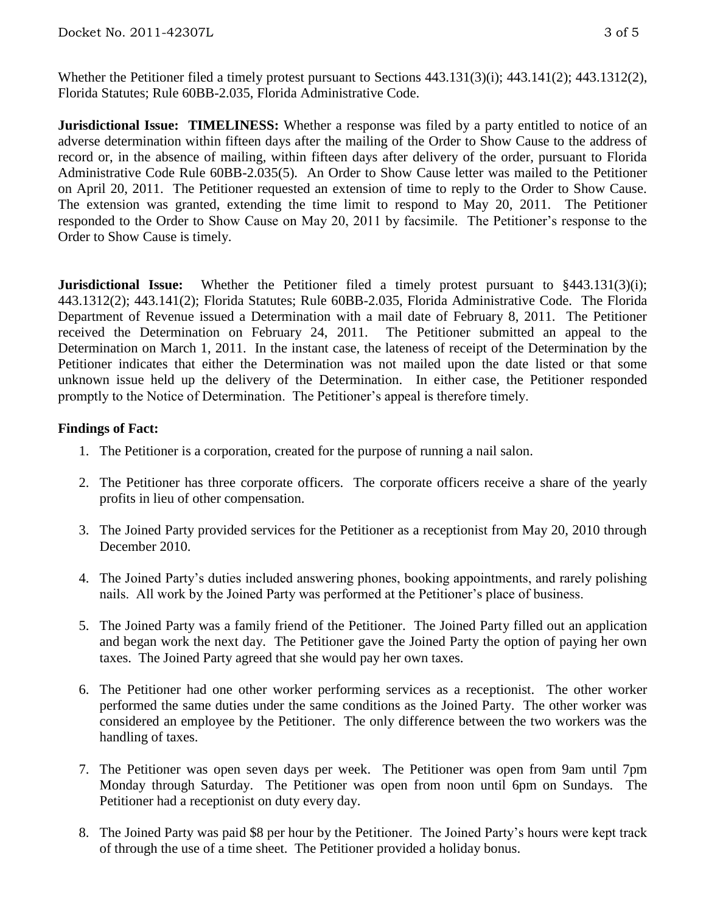Whether the Petitioner filed a timely protest pursuant to Sections 443.131(3)(i); 443.141(2); 443.1312(2), Florida Statutes; Rule 60BB-2.035, Florida Administrative Code.

**Jurisdictional Issue: TIMELINESS:** Whether a response was filed by a party entitled to notice of an adverse determination within fifteen days after the mailing of the Order to Show Cause to the address of record or, in the absence of mailing, within fifteen days after delivery of the order, pursuant to Florida Administrative Code Rule 60BB-2.035(5). An Order to Show Cause letter was mailed to the Petitioner on April 20, 2011. The Petitioner requested an extension of time to reply to the Order to Show Cause. The extension was granted, extending the time limit to respond to May 20, 2011. The Petitioner responded to the Order to Show Cause on May 20, 2011 by facsimile. The Petitioner's response to the Order to Show Cause is timely.

**Jurisdictional Issue:** Whether the Petitioner filed a timely protest pursuant to §443.131(3)(i); 443.1312(2); 443.141(2); Florida Statutes; Rule 60BB-2.035, Florida Administrative Code. The Florida Department of Revenue issued a Determination with a mail date of February 8, 2011. The Petitioner received the Determination on February 24, 2011. The Petitioner submitted an appeal to the Determination on March 1, 2011. In the instant case, the lateness of receipt of the Determination by the Petitioner indicates that either the Determination was not mailed upon the date listed or that some unknown issue held up the delivery of the Determination. In either case, the Petitioner responded promptly to the Notice of Determination. The Petitioner's appeal is therefore timely.

# **Findings of Fact:**

- 1. The Petitioner is a corporation, created for the purpose of running a nail salon.
- 2. The Petitioner has three corporate officers. The corporate officers receive a share of the yearly profits in lieu of other compensation.
- 3. The Joined Party provided services for the Petitioner as a receptionist from May 20, 2010 through December 2010.
- 4. The Joined Party's duties included answering phones, booking appointments, and rarely polishing nails. All work by the Joined Party was performed at the Petitioner's place of business.
- 5. The Joined Party was a family friend of the Petitioner. The Joined Party filled out an application and began work the next day. The Petitioner gave the Joined Party the option of paying her own taxes. The Joined Party agreed that she would pay her own taxes.
- 6. The Petitioner had one other worker performing services as a receptionist. The other worker performed the same duties under the same conditions as the Joined Party. The other worker was considered an employee by the Petitioner. The only difference between the two workers was the handling of taxes.
- 7. The Petitioner was open seven days per week. The Petitioner was open from 9am until 7pm Monday through Saturday. The Petitioner was open from noon until 6pm on Sundays. The Petitioner had a receptionist on duty every day.
- 8. The Joined Party was paid \$8 per hour by the Petitioner. The Joined Party's hours were kept track of through the use of a time sheet. The Petitioner provided a holiday bonus.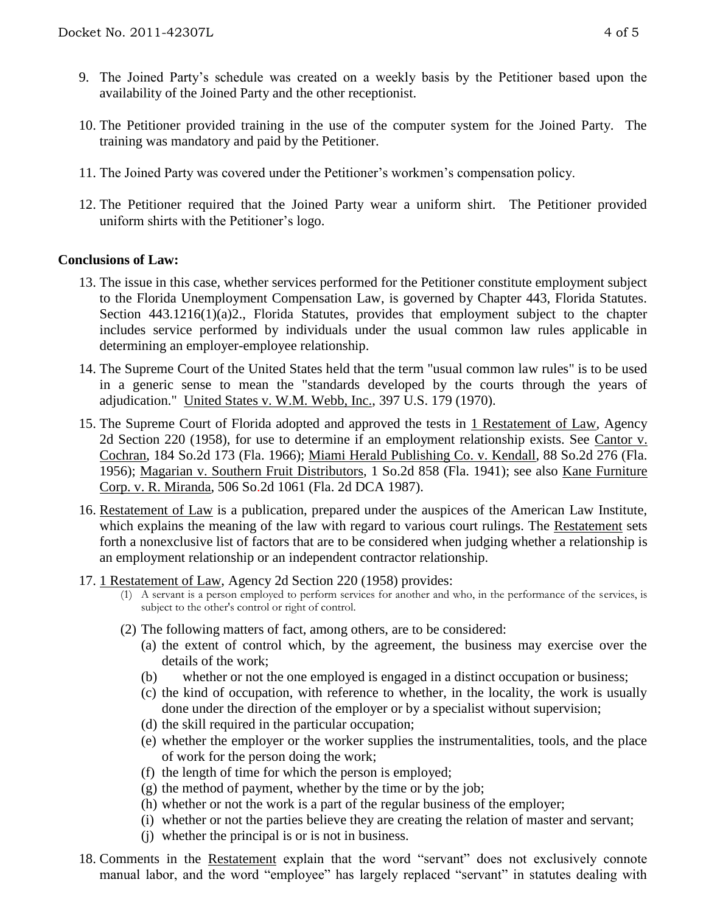- 9. The Joined Party's schedule was created on a weekly basis by the Petitioner based upon the availability of the Joined Party and the other receptionist.
- 10. The Petitioner provided training in the use of the computer system for the Joined Party. The training was mandatory and paid by the Petitioner.
- 11. The Joined Party was covered under the Petitioner's workmen's compensation policy.
- 12. The Petitioner required that the Joined Party wear a uniform shirt. The Petitioner provided uniform shirts with the Petitioner's logo.

### **Conclusions of Law:**

- 13. The issue in this case, whether services performed for the Petitioner constitute employment subject to the Florida Unemployment Compensation Law, is governed by Chapter 443, Florida Statutes. Section 443.1216(1)(a)2., Florida Statutes, provides that employment subject to the chapter includes service performed by individuals under the usual common law rules applicable in determining an employer-employee relationship.
- 14. The Supreme Court of the United States held that the term "usual common law rules" is to be used in a generic sense to mean the "standards developed by the courts through the years of adjudication." United States v. W.M. Webb, Inc., 397 U.S. 179 (1970).
- 15. The Supreme Court of Florida adopted and approved the tests in 1 Restatement of Law, Agency 2d Section 220 (1958), for use to determine if an employment relationship exists. See Cantor v. Cochran, 184 So.2d 173 (Fla. 1966); Miami Herald Publishing Co. v. Kendall, 88 So.2d 276 (Fla. 1956); Magarian v. Southern Fruit Distributors, 1 So.2d 858 (Fla. 1941); see also Kane Furniture Corp. v. R. Miranda, 506 So.2d 1061 (Fla. 2d DCA 1987).
- 16. Restatement of Law is a publication, prepared under the auspices of the American Law Institute, which explains the meaning of the law with regard to various court rulings. The Restatement sets forth a nonexclusive list of factors that are to be considered when judging whether a relationship is an employment relationship or an independent contractor relationship.
- 17. 1 Restatement of Law, Agency 2d Section 220 (1958) provides:
	- (1) A servant is a person employed to perform services for another and who, in the performance of the services, is subject to the other's control or right of control.
	- (2) The following matters of fact, among others, are to be considered:
		- (a) the extent of control which, by the agreement, the business may exercise over the details of the work;
		- (b) whether or not the one employed is engaged in a distinct occupation or business;
		- (c) the kind of occupation, with reference to whether, in the locality, the work is usually done under the direction of the employer or by a specialist without supervision;
		- (d) the skill required in the particular occupation;
		- (e) whether the employer or the worker supplies the instrumentalities, tools, and the place of work for the person doing the work;
		- (f) the length of time for which the person is employed;
		- $(g)$  the method of payment, whether by the time or by the job;
		- (h) whether or not the work is a part of the regular business of the employer;
		- (i) whether or not the parties believe they are creating the relation of master and servant;
		- (j) whether the principal is or is not in business.
- 18. Comments in the Restatement explain that the word "servant" does not exclusively connote manual labor, and the word "employee" has largely replaced "servant" in statutes dealing with